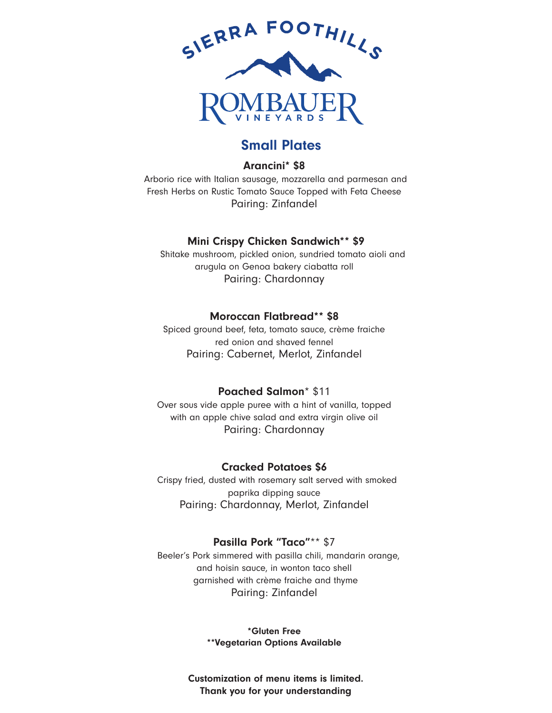

## Small Plates

#### Arancini\* \$8

 Arborio rice with Italian sausage, mozzarella and parmesan and Fresh Herbs on Rustic Tomato Sauce Topped with Feta Cheese Pairing: Zinfandel

#### Mini Crispy Chicken Sandwich\*\* \$9

 Shitake mushroom, pickled onion, sundried tomato aioli and arugula on Genoa bakery ciabatta roll Pairing: Chardonnay

#### Moroccan Flatbread\*\* \$8

Spiced ground beef, feta, tomato sauce, crème fraiche red onion and shaved fennel Pairing: Cabernet, Merlot, Zinfandel

#### Poached Salmon\* \$11

Over sous vide apple puree with a hint of vanilla, topped with an apple chive salad and extra virgin olive oil Pairing: Chardonnay

#### Cracked Potatoes \$6

 Crispy fried, dusted with rosemary salt served with smoked paprika dipping sauce Pairing: Chardonnay, Merlot, Zinfandel

#### Pasilla Pork "Taco"\*\* \$7

 Beeler's Pork simmered with pasilla chili, mandarin orange, and hoisin sauce, in wonton taco shell garnished with crème fraiche and thyme Pairing: Zinfandel

> \*Gluten Free \*\*Vegetarian Options Available

Customization of menu items is limited. Thank you for your understanding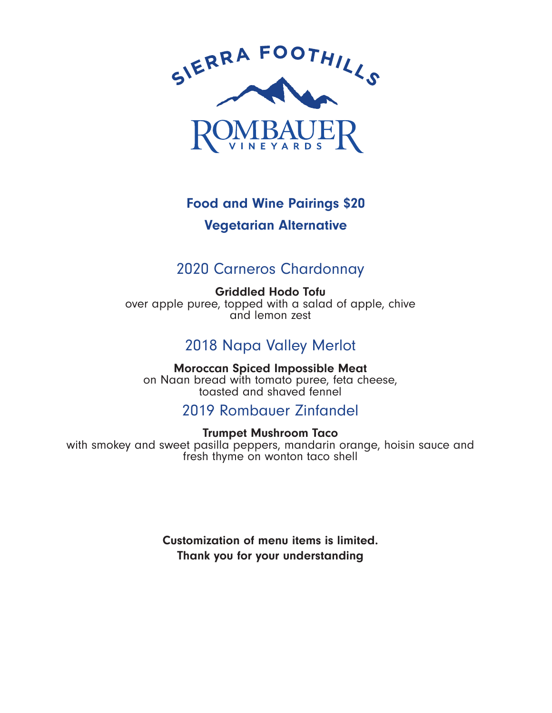

# Vegetarian Alternative Food and Wine Pairings \$20

## 2020 Carneros Chardonnay

Griddled Hodo Tofu over apple puree, topped with a salad of apple, chive and lemon zest

# 2018 Napa Valley Merlot

Moroccan Spiced Impossible Meat on Naan bread with tomato puree, feta cheese, toasted and shaved fennel

## 2019 Rombauer Zinfandel

### Trumpet Mushroom Taco

with smokey and sweet pasilla peppers, mandarin orange, hoisin sauce and fresh thyme on wonton taco shell

> Customization of menu items is limited. Thank you for your understanding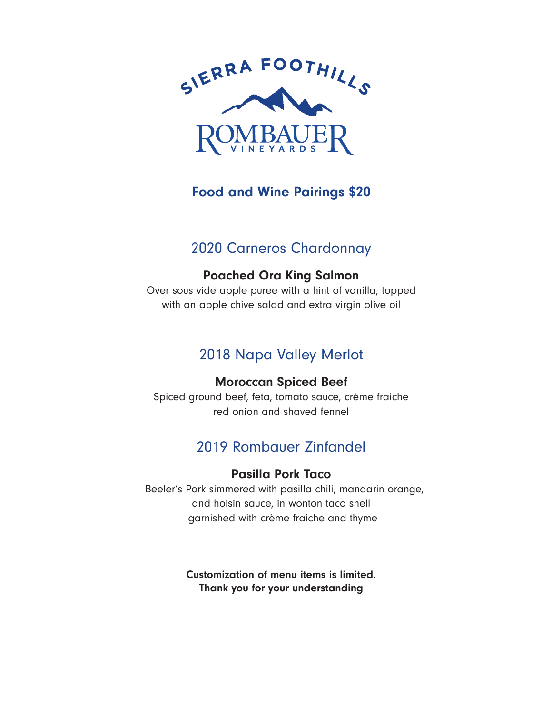

## Food and Wine Pairings \$20

## 2020 Carneros Chardonnay

### Poached Ora King Salmon

Over sous vide apple puree with a hint of vanilla, topped with an apple chive salad and extra virgin olive oil

# 2018 Napa Valley Merlot

### Moroccan Spiced Beef

Spiced ground beef, feta, tomato sauce, crème fraiche red onion and shaved fennel

# 2019 Rombauer Zinfandel

#### Pasilla Pork Taco

 Beeler's Pork simmered with pasilla chili, mandarin orange, and hoisin sauce, in wonton taco shell garnished with crème fraiche and thyme

> Customization of menu items is limited. Thank you for your understanding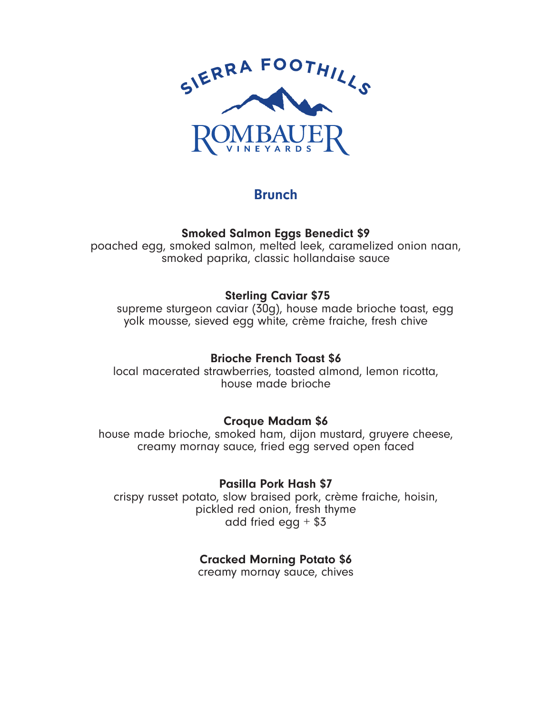

## Brunch

Smoked Salmon Eggs Benedict \$9

poached egg, smoked salmon, melted leek, caramelized onion naan, smoked paprika, classic hollandaise sauce

### Sterling Caviar \$75

 supreme sturgeon caviar (30g), house made brioche toast, egg yolk mousse, sieved egg white, crème fraiche, fresh chive

### Brioche French Toast \$6

local macerated strawberries, toasted almond, lemon ricotta, house made brioche

### Croque Madam \$6

house made brioche, smoked ham, dijon mustard, gruyere cheese, creamy mornay sauce, fried egg served open faced

Pasilla Pork Hash \$7

crispy russet potato, slow braised pork, crème fraiche, hoisin, pickled red onion, fresh thyme add fried egg  $+$  \$3

### Cracked Morning Potato \$6

creamy mornay sauce, chives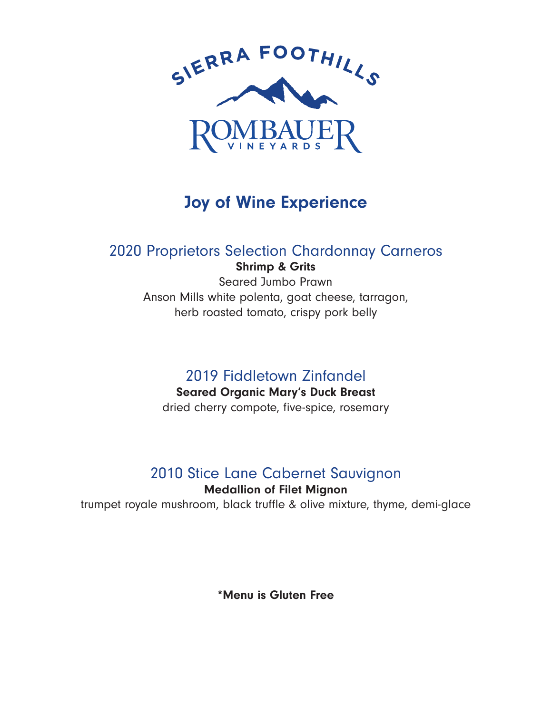

# Joy of Wine Experience

# 2020 Proprietors Selection Chardonnay Carneros

Shrimp & Grits Seared Jumbo Prawn Anson Mills white polenta, goat cheese, tarragon, herb roasted tomato, crispy pork belly

# 2019 Fiddletown Zinfandel

### Seared Organic Mary's Duck Breast

dried cherry compote, five-spice, rosemary

# 2010 Stice Lane Cabernet Sauvignon

### Medallion of Filet Mignon

trumpet royale mushroom, black truffle & olive mixture, thyme, demi-glace

\*Menu is Gluten Free